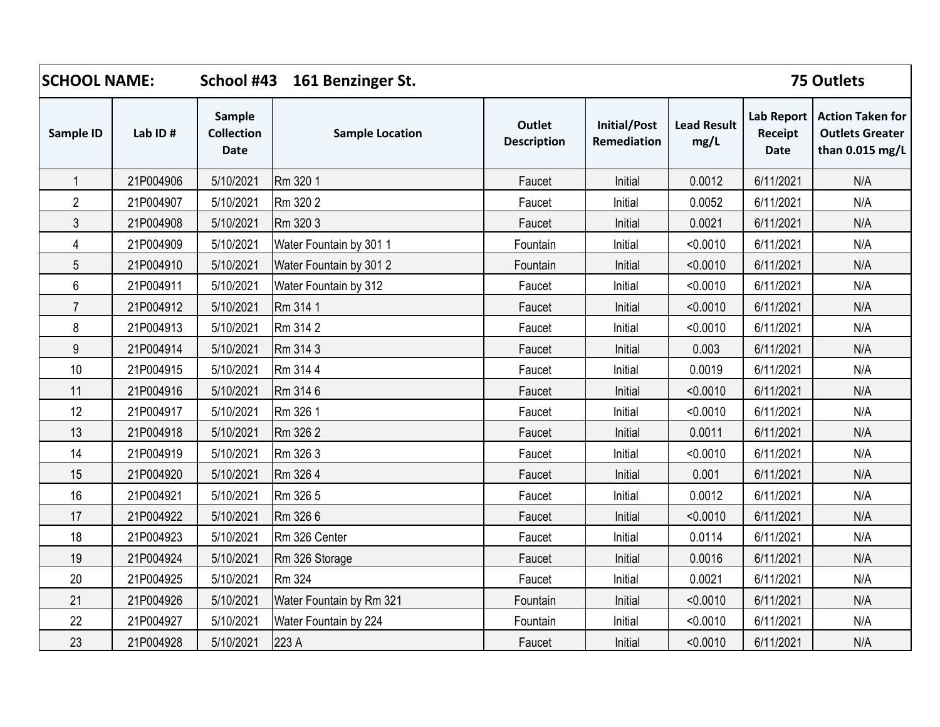| <b>SCHOOL NAME:</b> |           | School #43 161 Benzinger St.                      |                          |                                     |                                    | <b>75 Outlets</b>          |                                             |                                                                      |  |
|---------------------|-----------|---------------------------------------------------|--------------------------|-------------------------------------|------------------------------------|----------------------------|---------------------------------------------|----------------------------------------------------------------------|--|
| Sample ID           | Lab ID#   | <b>Sample</b><br><b>Collection</b><br><b>Date</b> | <b>Sample Location</b>   | <b>Outlet</b><br><b>Description</b> | <b>Initial/Post</b><br>Remediation | <b>Lead Result</b><br>mg/L | <b>Lab Report</b><br>Receipt<br><b>Date</b> | <b>Action Taken for</b><br><b>Outlets Greater</b><br>than 0.015 mg/L |  |
| $\mathbf{1}$        | 21P004906 | 5/10/2021                                         | Rm 320 1                 | Faucet                              | Initial                            | 0.0012                     | 6/11/2021                                   | N/A                                                                  |  |
| $\overline{2}$      | 21P004907 | 5/10/2021                                         | Rm 320 2                 | Faucet                              | Initial                            | 0.0052                     | 6/11/2021                                   | N/A                                                                  |  |
| 3                   | 21P004908 | 5/10/2021                                         | Rm 320 3                 | Faucet                              | Initial                            | 0.0021                     | 6/11/2021                                   | N/A                                                                  |  |
| 4                   | 21P004909 | 5/10/2021                                         | Water Fountain by 301 1  | Fountain                            | Initial                            | < 0.0010                   | 6/11/2021                                   | N/A                                                                  |  |
| 5                   | 21P004910 | 5/10/2021                                         | Water Fountain by 301 2  | Fountain                            | Initial                            | < 0.0010                   | 6/11/2021                                   | N/A                                                                  |  |
| 6                   | 21P004911 | 5/10/2021                                         | Water Fountain by 312    | Faucet                              | Initial                            | < 0.0010                   | 6/11/2021                                   | N/A                                                                  |  |
| $\overline{7}$      | 21P004912 | 5/10/2021                                         | Rm 314 1                 | Faucet                              | Initial                            | < 0.0010                   | 6/11/2021                                   | N/A                                                                  |  |
| 8                   | 21P004913 | 5/10/2021                                         | Rm 314 2                 | Faucet                              | Initial                            | < 0.0010                   | 6/11/2021                                   | N/A                                                                  |  |
| 9                   | 21P004914 | 5/10/2021                                         | Rm 314 3                 | Faucet                              | Initial                            | 0.003                      | 6/11/2021                                   | N/A                                                                  |  |
| 10                  | 21P004915 | 5/10/2021                                         | Rm 314 4                 | Faucet                              | Initial                            | 0.0019                     | 6/11/2021                                   | N/A                                                                  |  |
| 11                  | 21P004916 | 5/10/2021                                         | Rm 314 6                 | Faucet                              | Initial                            | < 0.0010                   | 6/11/2021                                   | N/A                                                                  |  |
| 12                  | 21P004917 | 5/10/2021                                         | Rm 326 1                 | Faucet                              | Initial                            | < 0.0010                   | 6/11/2021                                   | N/A                                                                  |  |
| 13                  | 21P004918 | 5/10/2021                                         | Rm 326 2                 | Faucet                              | Initial                            | 0.0011                     | 6/11/2021                                   | N/A                                                                  |  |
| 14                  | 21P004919 | 5/10/2021                                         | Rm 326 3                 | Faucet                              | Initial                            | < 0.0010                   | 6/11/2021                                   | N/A                                                                  |  |
| 15                  | 21P004920 | 5/10/2021                                         | Rm 326 4                 | Faucet                              | Initial                            | 0.001                      | 6/11/2021                                   | N/A                                                                  |  |
| 16                  | 21P004921 | 5/10/2021                                         | Rm 326 5                 | Faucet                              | Initial                            | 0.0012                     | 6/11/2021                                   | N/A                                                                  |  |
| 17                  | 21P004922 | 5/10/2021                                         | Rm 326 6                 | Faucet                              | Initial                            | < 0.0010                   | 6/11/2021                                   | N/A                                                                  |  |
| 18                  | 21P004923 | 5/10/2021                                         | Rm 326 Center            | Faucet                              | Initial                            | 0.0114                     | 6/11/2021                                   | N/A                                                                  |  |
| 19                  | 21P004924 | 5/10/2021                                         | Rm 326 Storage           | Faucet                              | Initial                            | 0.0016                     | 6/11/2021                                   | N/A                                                                  |  |
| 20                  | 21P004925 | 5/10/2021                                         | Rm 324                   | Faucet                              | Initial                            | 0.0021                     | 6/11/2021                                   | N/A                                                                  |  |
| 21                  | 21P004926 | 5/10/2021                                         | Water Fountain by Rm 321 | Fountain                            | Initial                            | < 0.0010                   | 6/11/2021                                   | N/A                                                                  |  |
| 22                  | 21P004927 | 5/10/2021                                         | Water Fountain by 224    | Fountain                            | Initial                            | < 0.0010                   | 6/11/2021                                   | N/A                                                                  |  |
| 23                  | 21P004928 | 5/10/2021                                         | 223 A                    | Faucet                              | Initial                            | < 0.0010                   | 6/11/2021                                   | N/A                                                                  |  |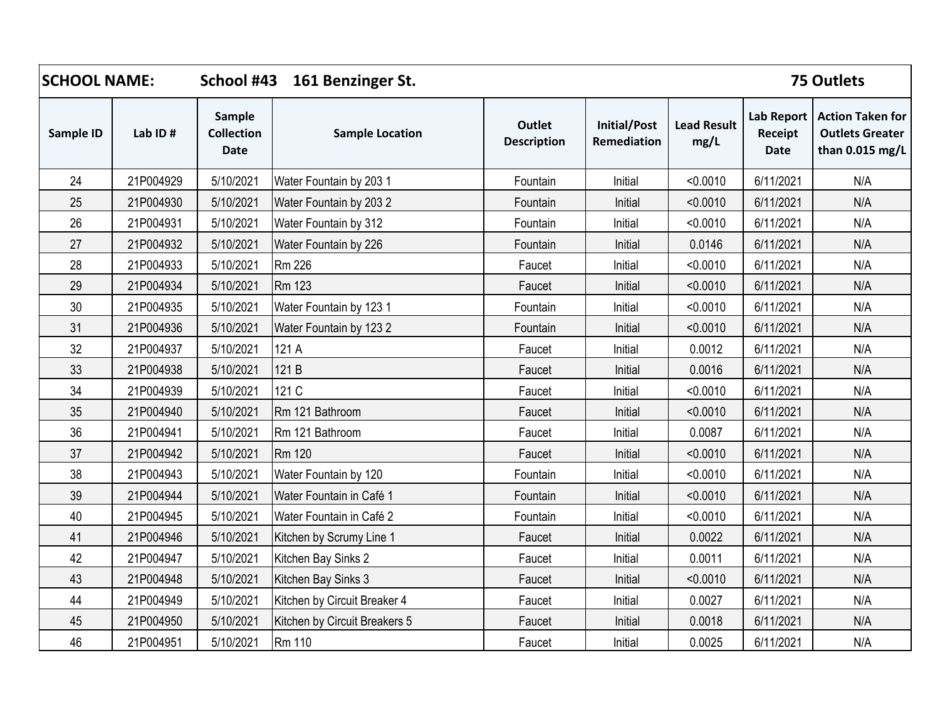| <b>SCHOOL NAME:</b> |           | School #43<br>161 Benzinger St.                   |                               |                                     |                                    |                            | <b>75 Outlets</b>                           |                                                                      |
|---------------------|-----------|---------------------------------------------------|-------------------------------|-------------------------------------|------------------------------------|----------------------------|---------------------------------------------|----------------------------------------------------------------------|
| Sample ID           | Lab ID#   | <b>Sample</b><br><b>Collection</b><br><b>Date</b> | <b>Sample Location</b>        | <b>Outlet</b><br><b>Description</b> | <b>Initial/Post</b><br>Remediation | <b>Lead Result</b><br>mg/L | <b>Lab Report</b><br>Receipt<br><b>Date</b> | <b>Action Taken for</b><br><b>Outlets Greater</b><br>than 0.015 mg/L |
| 24                  | 21P004929 | 5/10/2021                                         | Water Fountain by 203 1       | Fountain                            | Initial                            | < 0.0010                   | 6/11/2021                                   | N/A                                                                  |
| 25                  | 21P004930 | 5/10/2021                                         | Water Fountain by 2032        | Fountain                            | Initial                            | < 0.0010                   | 6/11/2021                                   | N/A                                                                  |
| 26                  | 21P004931 | 5/10/2021                                         | Water Fountain by 312         | Fountain                            | Initial                            | < 0.0010                   | 6/11/2021                                   | N/A                                                                  |
| 27                  | 21P004932 | 5/10/2021                                         | Water Fountain by 226         | Fountain                            | Initial                            | 0.0146                     | 6/11/2021                                   | N/A                                                                  |
| 28                  | 21P004933 | 5/10/2021                                         | <b>Rm 226</b>                 | Faucet                              | Initial                            | < 0.0010                   | 6/11/2021                                   | N/A                                                                  |
| 29                  | 21P004934 | 5/10/2021                                         | <b>Rm 123</b>                 | Faucet                              | Initial                            | < 0.0010                   | 6/11/2021                                   | N/A                                                                  |
| 30                  | 21P004935 | 5/10/2021                                         | Water Fountain by 123 1       | Fountain                            | Initial                            | < 0.0010                   | 6/11/2021                                   | N/A                                                                  |
| 31                  | 21P004936 | 5/10/2021                                         | Water Fountain by 1232        | Fountain                            | Initial                            | < 0.0010                   | 6/11/2021                                   | N/A                                                                  |
| 32                  | 21P004937 | 5/10/2021                                         | 121 A                         | Faucet                              | Initial                            | 0.0012                     | 6/11/2021                                   | N/A                                                                  |
| 33                  | 21P004938 | 5/10/2021                                         | 121 B                         | Faucet                              | Initial                            | 0.0016                     | 6/11/2021                                   | N/A                                                                  |
| 34                  | 21P004939 | 5/10/2021                                         | 121 C                         | Faucet                              | Initial                            | < 0.0010                   | 6/11/2021                                   | N/A                                                                  |
| 35                  | 21P004940 | 5/10/2021                                         | Rm 121 Bathroom               | Faucet                              | Initial                            | < 0.0010                   | 6/11/2021                                   | N/A                                                                  |
| 36                  | 21P004941 | 5/10/2021                                         | Rm 121 Bathroom               | Faucet                              | Initial                            | 0.0087                     | 6/11/2021                                   | N/A                                                                  |
| 37                  | 21P004942 | 5/10/2021                                         | Rm 120                        | Faucet                              | Initial                            | < 0.0010                   | 6/11/2021                                   | N/A                                                                  |
| 38                  | 21P004943 | 5/10/2021                                         | Water Fountain by 120         | Fountain                            | Initial                            | < 0.0010                   | 6/11/2021                                   | N/A                                                                  |
| 39                  | 21P004944 | 5/10/2021                                         | Water Fountain in Café 1      | Fountain                            | Initial                            | < 0.0010                   | 6/11/2021                                   | N/A                                                                  |
| 40                  | 21P004945 | 5/10/2021                                         | Water Fountain in Café 2      | Fountain                            | Initial                            | < 0.0010                   | 6/11/2021                                   | N/A                                                                  |
| 41                  | 21P004946 | 5/10/2021                                         | Kitchen by Scrumy Line 1      | Faucet                              | Initial                            | 0.0022                     | 6/11/2021                                   | N/A                                                                  |
| 42                  | 21P004947 | 5/10/2021                                         | Kitchen Bay Sinks 2           | Faucet                              | Initial                            | 0.0011                     | 6/11/2021                                   | N/A                                                                  |
| 43                  | 21P004948 | 5/10/2021                                         | Kitchen Bay Sinks 3           | Faucet                              | Initial                            | < 0.0010                   | 6/11/2021                                   | N/A                                                                  |
| 44                  | 21P004949 | 5/10/2021                                         | Kitchen by Circuit Breaker 4  | Faucet                              | Initial                            | 0.0027                     | 6/11/2021                                   | N/A                                                                  |
| 45                  | 21P004950 | 5/10/2021                                         | Kitchen by Circuit Breakers 5 | Faucet                              | Initial                            | 0.0018                     | 6/11/2021                                   | N/A                                                                  |
| 46                  | 21P004951 | 5/10/2021                                         | Rm 110                        | Faucet                              | Initial                            | 0.0025                     | 6/11/2021                                   | N/A                                                                  |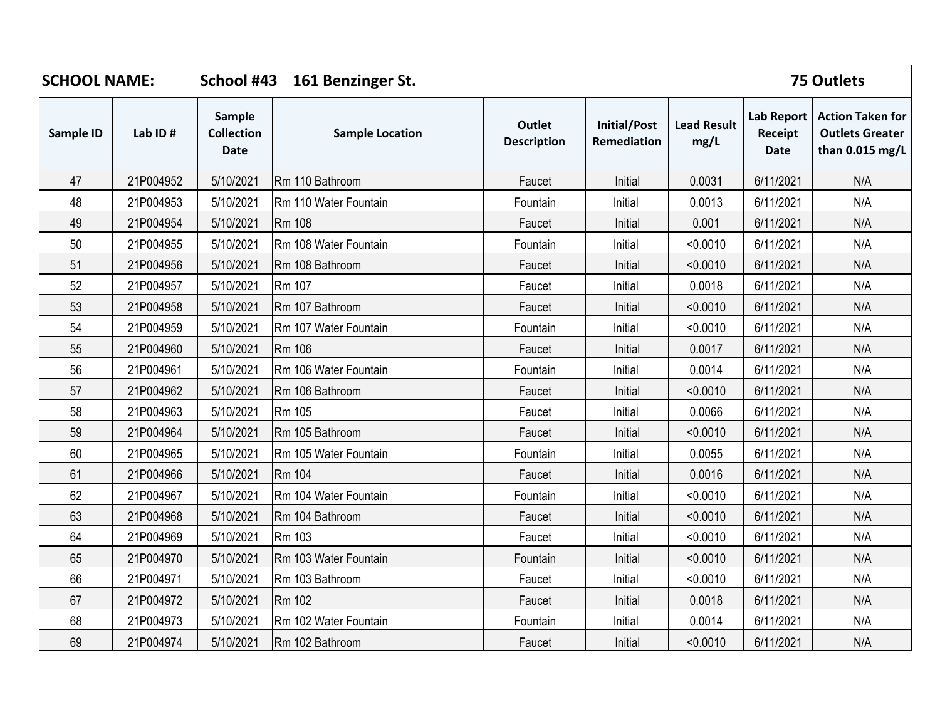| <b>SCHOOL NAME:</b> |           |                                            | School #43 161 Benzinger St. |                                     |                                    |                            |                                      | 75 Outlets                                                           |
|---------------------|-----------|--------------------------------------------|------------------------------|-------------------------------------|------------------------------------|----------------------------|--------------------------------------|----------------------------------------------------------------------|
| Sample ID           | Lab ID#   | Sample<br><b>Collection</b><br><b>Date</b> | <b>Sample Location</b>       | <b>Outlet</b><br><b>Description</b> | <b>Initial/Post</b><br>Remediation | <b>Lead Result</b><br>mg/L | <b>Lab Report</b><br>Receipt<br>Date | <b>Action Taken for</b><br><b>Outlets Greater</b><br>than 0.015 mg/L |
| 47                  | 21P004952 | 5/10/2021                                  | Rm 110 Bathroom              | Faucet                              | Initial                            | 0.0031                     | 6/11/2021                            | N/A                                                                  |
| 48                  | 21P004953 | 5/10/2021                                  | Rm 110 Water Fountain        | Fountain                            | Initial                            | 0.0013                     | 6/11/2021                            | N/A                                                                  |
| 49                  | 21P004954 | 5/10/2021                                  | Rm 108                       | Faucet                              | Initial                            | 0.001                      | 6/11/2021                            | N/A                                                                  |
| 50                  | 21P004955 | 5/10/2021                                  | Rm 108 Water Fountain        | Fountain                            | Initial                            | < 0.0010                   | 6/11/2021                            | N/A                                                                  |
| 51                  | 21P004956 | 5/10/2021                                  | Rm 108 Bathroom              | Faucet                              | Initial                            | < 0.0010                   | 6/11/2021                            | N/A                                                                  |
| 52                  | 21P004957 | 5/10/2021                                  | <b>Rm 107</b>                | Faucet                              | Initial                            | 0.0018                     | 6/11/2021                            | N/A                                                                  |
| 53                  | 21P004958 | 5/10/2021                                  | Rm 107 Bathroom              | Faucet                              | Initial                            | < 0.0010                   | 6/11/2021                            | N/A                                                                  |
| 54                  | 21P004959 | 5/10/2021                                  | Rm 107 Water Fountain        | Fountain                            | Initial                            | < 0.0010                   | 6/11/2021                            | N/A                                                                  |
| 55                  | 21P004960 | 5/10/2021                                  | Rm 106                       | Faucet                              | Initial                            | 0.0017                     | 6/11/2021                            | N/A                                                                  |
| 56                  | 21P004961 | 5/10/2021                                  | Rm 106 Water Fountain        | Fountain                            | Initial                            | 0.0014                     | 6/11/2021                            | N/A                                                                  |
| 57                  | 21P004962 | 5/10/2021                                  | Rm 106 Bathroom              | Faucet                              | Initial                            | < 0.0010                   | 6/11/2021                            | N/A                                                                  |
| 58                  | 21P004963 | 5/10/2021                                  | Rm 105                       | Faucet                              | Initial                            | 0.0066                     | 6/11/2021                            | N/A                                                                  |
| 59                  | 21P004964 | 5/10/2021                                  | Rm 105 Bathroom              | Faucet                              | Initial                            | < 0.0010                   | 6/11/2021                            | N/A                                                                  |
| 60                  | 21P004965 | 5/10/2021                                  | Rm 105 Water Fountain        | Fountain                            | Initial                            | 0.0055                     | 6/11/2021                            | N/A                                                                  |
| 61                  | 21P004966 | 5/10/2021                                  | Rm 104                       | Faucet                              | Initial                            | 0.0016                     | 6/11/2021                            | N/A                                                                  |
| 62                  | 21P004967 | 5/10/2021                                  | Rm 104 Water Fountain        | Fountain                            | Initial                            | < 0.0010                   | 6/11/2021                            | N/A                                                                  |
| 63                  | 21P004968 | 5/10/2021                                  | Rm 104 Bathroom              | Faucet                              | Initial                            | < 0.0010                   | 6/11/2021                            | N/A                                                                  |
| 64                  | 21P004969 | 5/10/2021                                  | Rm 103                       | Faucet                              | Initial                            | < 0.0010                   | 6/11/2021                            | N/A                                                                  |
| 65                  | 21P004970 | 5/10/2021                                  | Rm 103 Water Fountain        | Fountain                            | Initial                            | < 0.0010                   | 6/11/2021                            | N/A                                                                  |
| 66                  | 21P004971 | 5/10/2021                                  | Rm 103 Bathroom              | Faucet                              | Initial                            | < 0.0010                   | 6/11/2021                            | N/A                                                                  |
| 67                  | 21P004972 | 5/10/2021                                  | Rm 102                       | Faucet                              | Initial                            | 0.0018                     | 6/11/2021                            | N/A                                                                  |
| 68                  | 21P004973 | 5/10/2021                                  | Rm 102 Water Fountain        | Fountain                            | Initial                            | 0.0014                     | 6/11/2021                            | N/A                                                                  |
| 69                  | 21P004974 | 5/10/2021                                  | Rm 102 Bathroom              | Faucet                              | Initial                            | < 0.0010                   | 6/11/2021                            | N/A                                                                  |